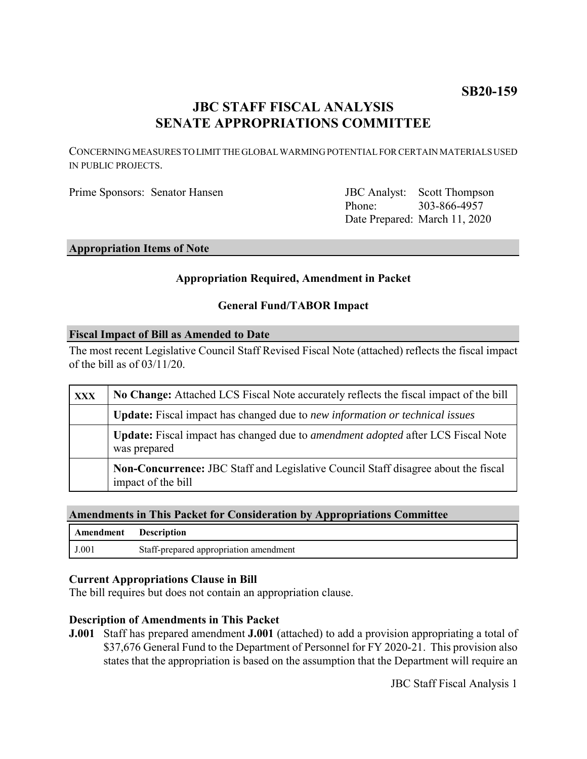# **JBC STAFF FISCAL ANALYSIS SENATE APPROPRIATIONS COMMITTEE**

CONCERNING MEASURES TO LIMIT THE GLOBAL WARMING POTENTIAL FOR CERTAIN MATERIALS USED IN PUBLIC PROJECTS.

Prime Sponsors: Senator Hansen

Phone: Date Prepared: March 11, 2020 **JBC** Analyst: Scott Thompson 303-866-4957

### **Appropriation Items of Note**

#### **Appropriation Required, Amendment in Packet**

#### **General Fund/TABOR Impact**

#### **Fiscal Impact of Bill as Amended to Date**

The most recent Legislative Council Staff Revised Fiscal Note (attached) reflects the fiscal impact of the bill as of 03/11/20.

| <b>XXX</b> | No Change: Attached LCS Fiscal Note accurately reflects the fiscal impact of the bill                           |
|------------|-----------------------------------------------------------------------------------------------------------------|
|            | <b>Update:</b> Fiscal impact has changed due to <i>new information or technical issues</i>                      |
|            | <b>Update:</b> Fiscal impact has changed due to <i>amendment adopted</i> after LCS Fiscal Note<br>was prepared  |
|            | <b>Non-Concurrence:</b> JBC Staff and Legislative Council Staff disagree about the fiscal<br>impact of the bill |

#### **Amendments in This Packet for Consideration by Appropriations Committee**

| <b>Amendment</b> Description |                                        |
|------------------------------|----------------------------------------|
| J.001                        | Staff-prepared appropriation amendment |

#### **Current Appropriations Clause in Bill**

The bill requires but does not contain an appropriation clause.

#### **Description of Amendments in This Packet**

**J.001** Staff has prepared amendment **J.001** (attached) to add a provision appropriating a total of \$37,676 General Fund to the Department of Personnel for FY 2020-21. This provision also states that the appropriation is based on the assumption that the Department will require an